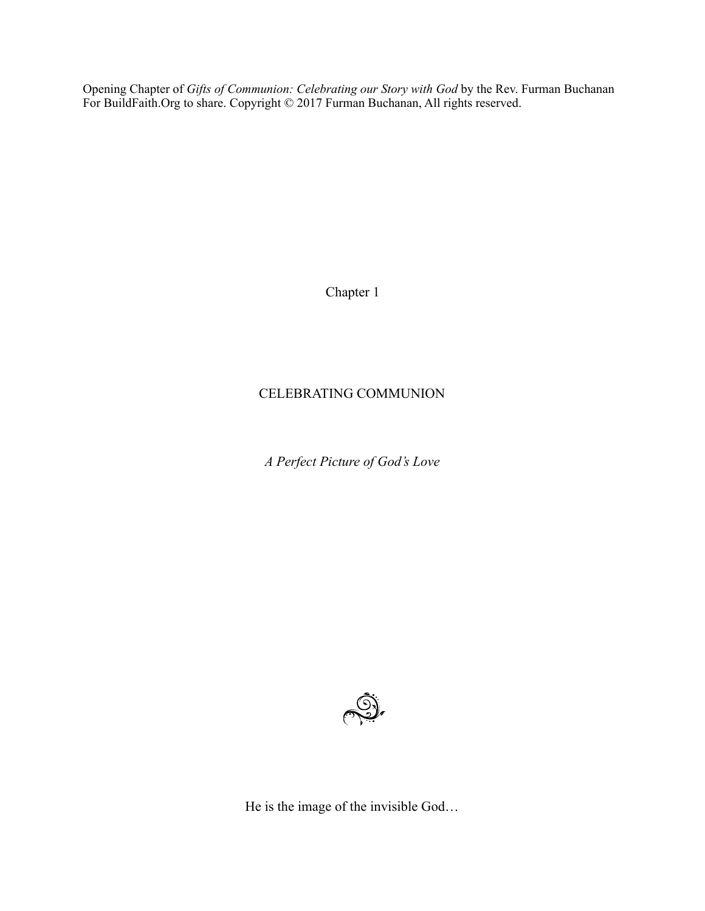Opening Chapter of *Gifts of Communion: Celebrating our Story with God* by the Rev. Furman Buchanan For BuildFaith.Org to share. Copyright © 2017 Furman Buchanan, All rights reserved.

Chapter 1

## CELEBRATING COMMUNION

*A Perfect Picture of God's Love* 



He is the image of the invisible God…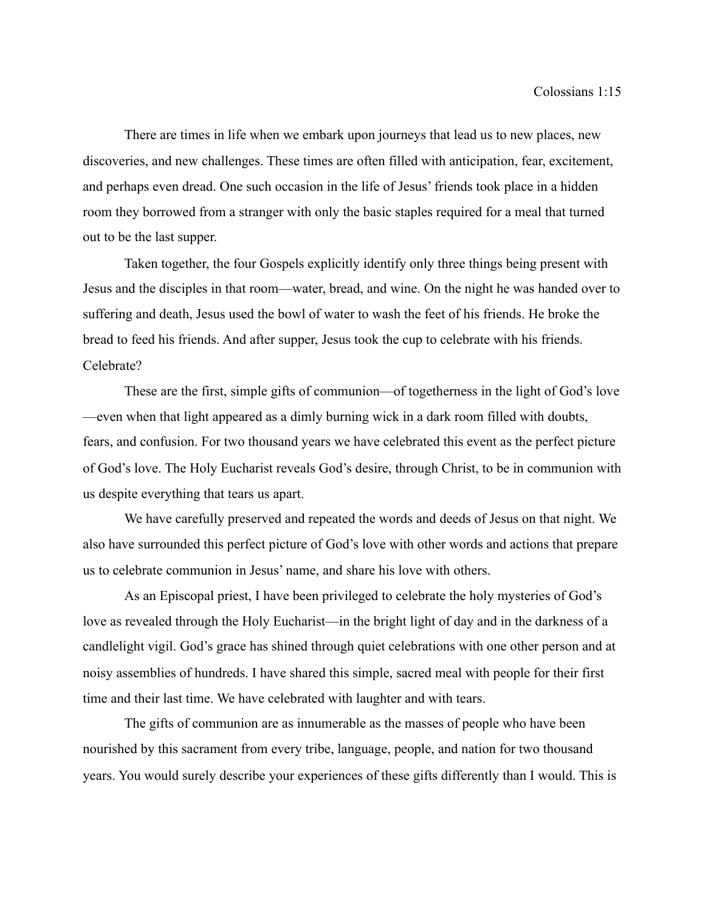There are times in life when we embark upon journeys that lead us to new places, new discoveries, and new challenges. These times are often filled with anticipation, fear, excitement, and perhaps even dread. One such occasion in the life of Jesus' friends took place in a hidden room they borrowed from a stranger with only the basic staples required for a meal that turned out to be the last supper.

Taken together, the four Gospels explicitly identify only three things being present with Jesus and the disciples in that room—water, bread, and wine. On the night he was handed over to suffering and death, Jesus used the bowl of water to wash the feet of his friends. He broke the bread to feed his friends. And after supper, Jesus took the cup to celebrate with his friends. Celebrate?

These are the first, simple gifts of communion—of togetherness in the light of God's love —even when that light appeared as a dimly burning wick in a dark room filled with doubts, fears, and confusion. For two thousand years we have celebrated this event as the perfect picture of God's love. The Holy Eucharist reveals God's desire, through Christ, to be in communion with us despite everything that tears us apart.

We have carefully preserved and repeated the words and deeds of Jesus on that night. We also have surrounded this perfect picture of God's love with other words and actions that prepare us to celebrate communion in Jesus' name, and share his love with others.

As an Episcopal priest, I have been privileged to celebrate the holy mysteries of God's love as revealed through the Holy Eucharist—in the bright light of day and in the darkness of a candlelight vigil. God's grace has shined through quiet celebrations with one other person and at noisy assemblies of hundreds. I have shared this simple, sacred meal with people for their first time and their last time. We have celebrated with laughter and with tears.

The gifts of communion are as innumerable as the masses of people who have been nourished by this sacrament from every tribe, language, people, and nation for two thousand years. You would surely describe your experiences of these gifts differently than I would. This is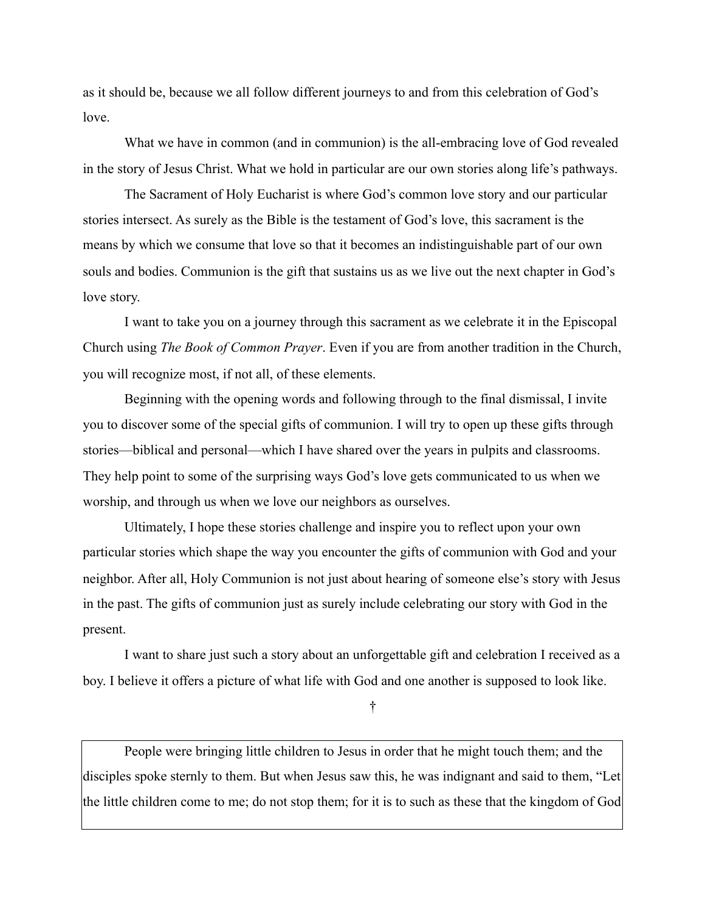as it should be, because we all follow different journeys to and from this celebration of God's love.

What we have in common (and in communion) is the all-embracing love of God revealed in the story of Jesus Christ. What we hold in particular are our own stories along life's pathways.

The Sacrament of Holy Eucharist is where God's common love story and our particular stories intersect. As surely as the Bible is the testament of God's love, this sacrament is the means by which we consume that love so that it becomes an indistinguishable part of our own souls and bodies. Communion is the gift that sustains us as we live out the next chapter in God's love story.

I want to take you on a journey through this sacrament as we celebrate it in the Episcopal Church using *The Book of Common Prayer*. Even if you are from another tradition in the Church, you will recognize most, if not all, of these elements.

Beginning with the opening words and following through to the final dismissal, I invite you to discover some of the special gifts of communion. I will try to open up these gifts through stories—biblical and personal—which I have shared over the years in pulpits and classrooms. They help point to some of the surprising ways God's love gets communicated to us when we worship, and through us when we love our neighbors as ourselves.

Ultimately, I hope these stories challenge and inspire you to reflect upon your own particular stories which shape the way you encounter the gifts of communion with God and your neighbor. After all, Holy Communion is not just about hearing of someone else's story with Jesus in the past. The gifts of communion just as surely include celebrating our story with God in the present.

I want to share just such a story about an unforgettable gift and celebration I received as a boy. I believe it offers a picture of what life with God and one another is supposed to look like.

†

People were bringing little children to Jesus in order that he might touch them; and the disciples spoke sternly to them. But when Jesus saw this, he was indignant and said to them, "Let the little children come to me; do not stop them; for it is to such as these that the kingdom of God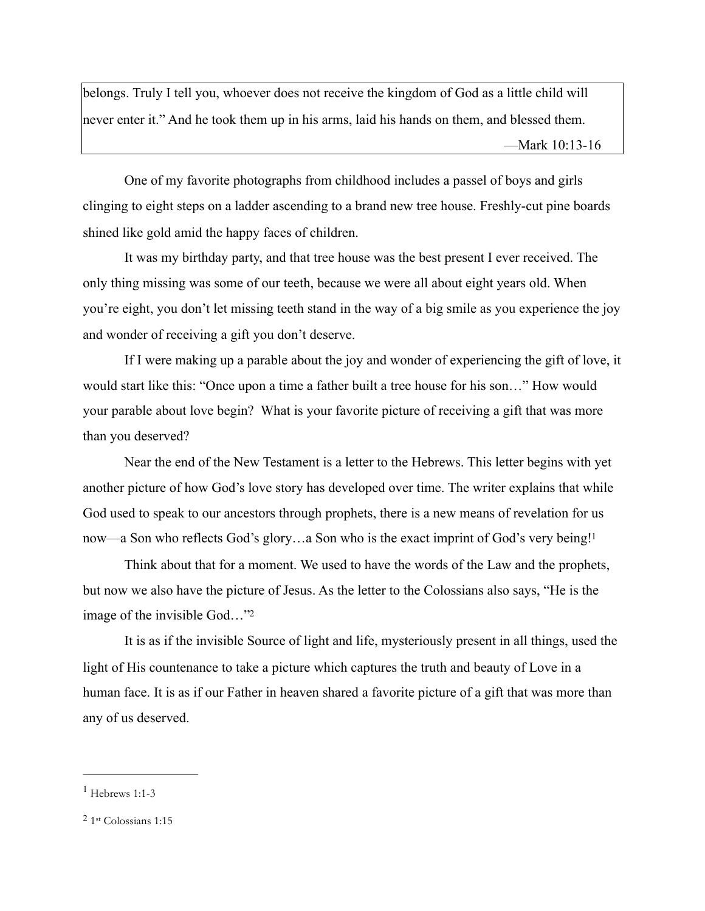belongs. Truly I tell you, whoever does not receive the kingdom of God as a little child will never enter it." And he took them up in his arms, laid his hands on them, and blessed them. —Mark 10:13-16

One of my favorite photographs from childhood includes a passel of boys and girls clinging to eight steps on a ladder ascending to a brand new tree house. Freshly-cut pine boards shined like gold amid the happy faces of children.

It was my birthday party, and that tree house was the best present I ever received. The only thing missing was some of our teeth, because we were all about eight years old. When you're eight, you don't let missing teeth stand in the way of a big smile as you experience the joy and wonder of receiving a gift you don't deserve.

If I were making up a parable about the joy and wonder of experiencing the gift of love, it would start like this: "Once upon a time a father built a tree house for his son…" How would your parable about love begin? What is your favorite picture of receiving a gift that was more than you deserved?

Near the end of the New Testament is a letter to the Hebrews. This letter begins with yet another picture of how God's love story has developed over time. The writer explains that while God used to speak to our ancestors through prophets, there is a new means of revelation for us now—a Son who reflects God's glory...a Son who is the exact imprint of God's very being!<sup>1</sup>

<span id="page-3-2"></span>Think about that for a moment. We used to have the words of the Law and the prophets, but now we also have the picture of Jesus. As the letter to the Colossians also says, "He is the image of the invisible God...["](#page-3-1)<sup>[2](#page-3-1)</sup>

<span id="page-3-3"></span>It is as if the invisible Source of light and life, mysteriously present in all things, used the light of His countenance to take a picture which captures the truth and beauty of Love in a human face. It is as if our Father in heaven shared a favorite picture of a gift that was more than any of us deserved.

<span id="page-3-0"></span> $<sup>1</sup>$  $<sup>1</sup>$  $<sup>1</sup>$  Hebrews 1:1-3</sup>

<span id="page-3-1"></span> $2$  1st Colossians 1:15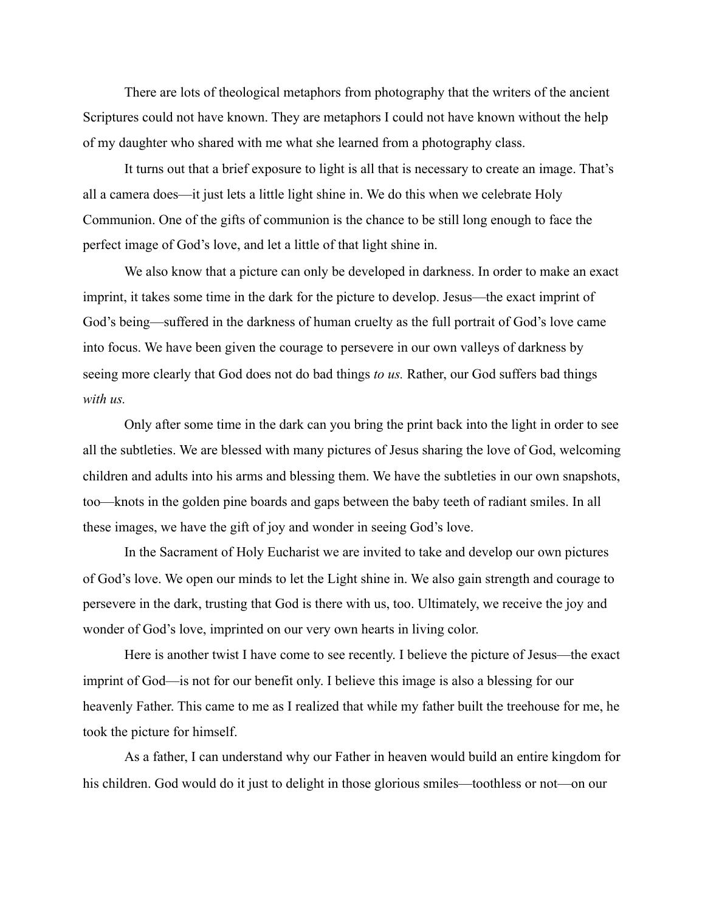There are lots of theological metaphors from photography that the writers of the ancient Scriptures could not have known. They are metaphors I could not have known without the help of my daughter who shared with me what she learned from a photography class.

It turns out that a brief exposure to light is all that is necessary to create an image. That's all a camera does—it just lets a little light shine in. We do this when we celebrate Holy Communion. One of the gifts of communion is the chance to be still long enough to face the perfect image of God's love, and let a little of that light shine in.

We also know that a picture can only be developed in darkness. In order to make an exact imprint, it takes some time in the dark for the picture to develop. Jesus—the exact imprint of God's being—suffered in the darkness of human cruelty as the full portrait of God's love came into focus. We have been given the courage to persevere in our own valleys of darkness by seeing more clearly that God does not do bad things *to us.* Rather, our God suffers bad things *with us.* 

Only after some time in the dark can you bring the print back into the light in order to see all the subtleties. We are blessed with many pictures of Jesus sharing the love of God, welcoming children and adults into his arms and blessing them. We have the subtleties in our own snapshots, too—knots in the golden pine boards and gaps between the baby teeth of radiant smiles. In all these images, we have the gift of joy and wonder in seeing God's love.

In the Sacrament of Holy Eucharist we are invited to take and develop our own pictures of God's love. We open our minds to let the Light shine in. We also gain strength and courage to persevere in the dark, trusting that God is there with us, too. Ultimately, we receive the joy and wonder of God's love, imprinted on our very own hearts in living color.

Here is another twist I have come to see recently. I believe the picture of Jesus—the exact imprint of God—is not for our benefit only. I believe this image is also a blessing for our heavenly Father. This came to me as I realized that while my father built the treehouse for me, he took the picture for himself.

As a father, I can understand why our Father in heaven would build an entire kingdom for his children. God would do it just to delight in those glorious smiles—toothless or not—on our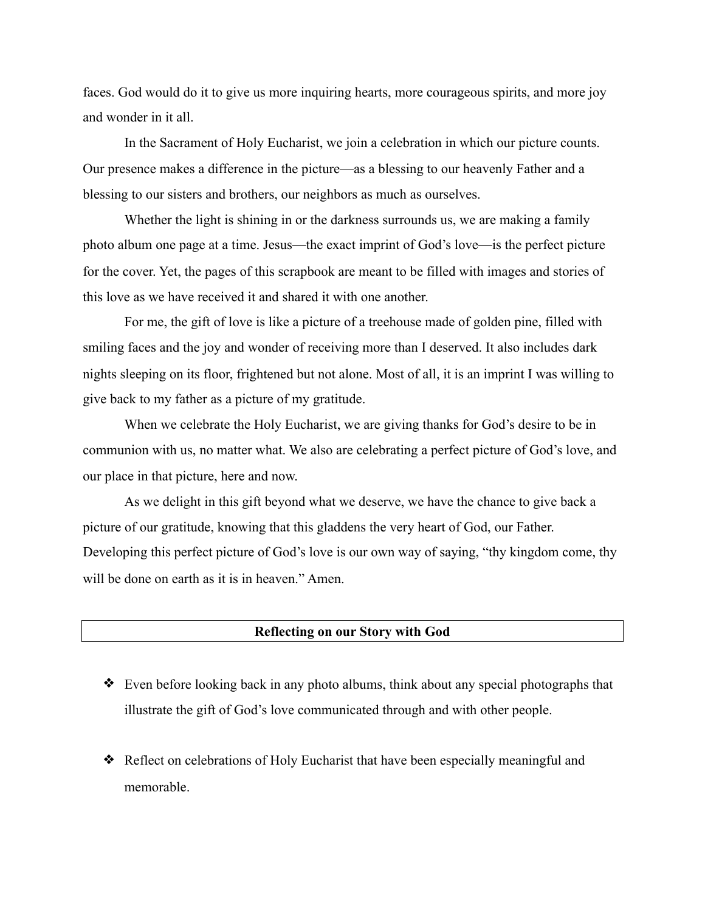faces. God would do it to give us more inquiring hearts, more courageous spirits, and more joy and wonder in it all.

In the Sacrament of Holy Eucharist, we join a celebration in which our picture counts. Our presence makes a difference in the picture—as a blessing to our heavenly Father and a blessing to our sisters and brothers, our neighbors as much as ourselves.

Whether the light is shining in or the darkness surrounds us, we are making a family photo album one page at a time. Jesus—the exact imprint of God's love—is the perfect picture for the cover. Yet, the pages of this scrapbook are meant to be filled with images and stories of this love as we have received it and shared it with one another.

For me, the gift of love is like a picture of a treehouse made of golden pine, filled with smiling faces and the joy and wonder of receiving more than I deserved. It also includes dark nights sleeping on its floor, frightened but not alone. Most of all, it is an imprint I was willing to give back to my father as a picture of my gratitude.

When we celebrate the Holy Eucharist, we are giving thanks for God's desire to be in communion with us, no matter what. We also are celebrating a perfect picture of God's love, and our place in that picture, here and now.

As we delight in this gift beyond what we deserve, we have the chance to give back a picture of our gratitude, knowing that this gladdens the very heart of God, our Father. Developing this perfect picture of God's love is our own way of saying, "thy kingdom come, thy will be done on earth as it is in heaven." Amen.

## **Reflecting on our Story with God**

- ❖ Even before looking back in any photo albums, think about any special photographs that illustrate the gift of God's love communicated through and with other people.
- ❖ Reflect on celebrations of Holy Eucharist that have been especially meaningful and memorable.